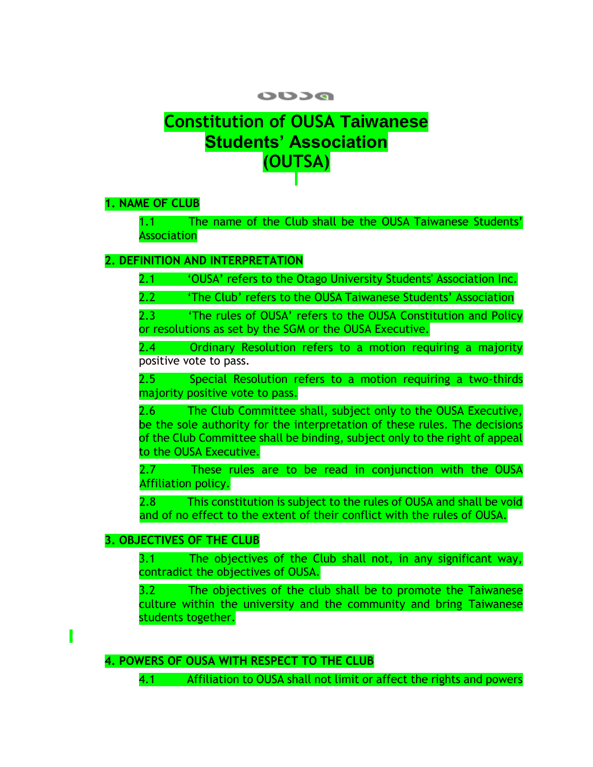# **DCUO**

# **Constitution of OUSA Taiwanese Students' Association (OUTSA)**

**1. NAME OF CLUB**

1.1 The name of the Club shall be the OUSA Taiwanese Students' Association

# **2. DEFINITION AND INTERPRETATION**

2.1 'OUSA' refers to the Otago University Students' Association Inc.

2.2 'The Club' refers to the OUSA Taiwanese Students' Association

2.3 'The rules of OUSA' refers to the OUSA Constitution and Policy or resolutions as set by the SGM or the OUSA Executive.

2.4 Ordinary Resolution refers to a motion requiring a majority positive vote to pass.

2.5 Special Resolution refers to a motion requiring a two-thirds majority positive vote to pass.

2.6 The Club Committee shall, subject only to the OUSA Executive, be the sole authority for the interpretation of these rules. The decisions of the Club Committee shall be binding, subject only to the right of appeal to the OUSA Executive.

2.7 These rules are to be read in conjunction with the OUSA Affiliation policy.

2.8 This constitution is subject to the rules of OUSA and shall be void and of no effect to the extent of their conflict with the rules of OUSA.

# **3. OBJECTIVES OF THE CLUB**

3.1 The objectives of the Club shall not, in any significant way, contradict the objectives of OUSA.

3.2 The objectives of the club shall be to promote the Taiwanese culture within the university and the community and bring Taiwanese students together.

# **4. POWERS OF OUSA WITH RESPECT TO THE CLUB**

4.1 Affiliation to OUSA shall not limit or affect the rights and powers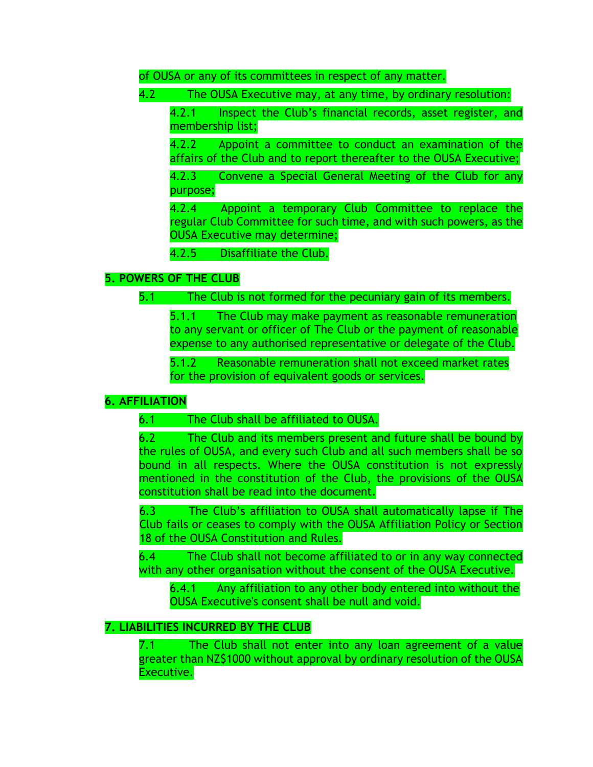of OUSA or any of its committees in respect of any matter.

4.2 The OUSA Executive may, at any time, by ordinary resolution:

4.2.1 Inspect the Club's financial records, asset register, and membership list;

4.2.2 Appoint a committee to conduct an examination of the affairs of the Club and to report thereafter to the OUSA Executive;

4.2.3 Convene a Special General Meeting of the Club for any purpose;

4.2.4 Appoint a temporary Club Committee to replace the regular Club Committee for such time, and with such powers, as the OUSA Executive may determine;

4.2.5 Disaffiliate the Club.

# **5. POWERS OF THE CLUB**

5.1 The Club is not formed for the pecuniary gain of its members.

5.1.1 The Club may make payment as reasonable remuneration to any servant or officer of The Club or the payment of reasonable expense to any authorised representative or delegate of the Club.

5.1.2 Reasonable remuneration shall not exceed market rates for the provision of equivalent goods or services.

# **6. AFFILIATION**

# 6.1 The Club shall be affiliated to OUSA.

6.2 The Club and its members present and future shall be bound by the rules of OUSA, and every such Club and all such members shall be so bound in all respects. Where the OUSA constitution is not expressly mentioned in the constitution of the Club, the provisions of the OUSA constitution shall be read into the document.

6.3 The Club's affiliation to OUSA shall automatically lapse if The Club fails or ceases to comply with the OUSA Affiliation Policy or Section 18 of the OUSA Constitution and Rules.

6.4 The Club shall not become affiliated to or in any way connected with any other organisation without the consent of the OUSA Executive.

6.4.1 Any affiliation to any other body entered into without the OUSA Executive's consent shall be null and void.

# **7. LIABILITIES INCURRED BY THE CLUB**

7.1 The Club shall not enter into any loan agreement of a value greater than NZ\$1000 without approval by ordinary resolution of the OUSA Executive.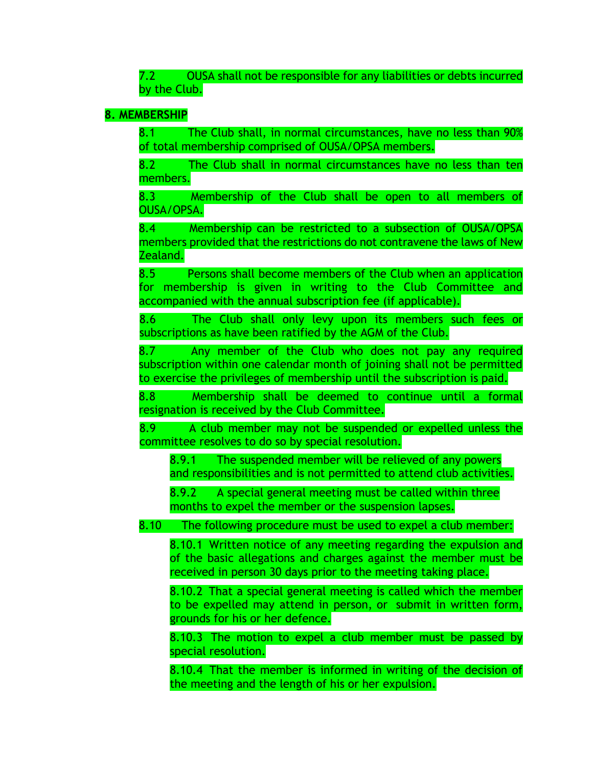7.2 OUSA shall not be responsible for any liabilities or debts incurred by the Club.

### **8. MEMBERSHIP**

8.1 The Club shall, in normal circumstances, have no less than 90% of total membership comprised of OUSA/OPSA members.

8.2 The Club shall in normal circumstances have no less than ten members.

8.3 Membership of the Club shall be open to all members of OUSA/OPSA.

8.4 Membership can be restricted to a subsection of OUSA/OPSA members provided that the restrictions do not contravene the laws of New Zealand.

8.5 Persons shall become members of the Club when an application for membership is given in writing to the Club Committee and accompanied with the annual subscription fee (if applicable).

8.6 The Club shall only levy upon its members such fees or subscriptions as have been ratified by the AGM of the Club.

8.7 Any member of the Club who does not pay any required subscription within one calendar month of joining shall not be permitted to exercise the privileges of membership until the subscription is paid.

8.8 Membership shall be deemed to continue until a formal resignation is received by the Club Committee.

8.9 A club member may not be suspended or expelled unless the committee resolves to do so by special resolution.

8.9.1 The suspended member will be relieved of any powers and responsibilities and is not permitted to attend club activities.

8.9.2 A special general meeting must be called within three months to expel the member or the suspension lapses.

8.10 The following procedure must be used to expel a club member:

8.10.1 Written notice of any meeting regarding the expulsion and of the basic allegations and charges against the member must be received in person 30 days prior to the meeting taking place.

8.10.2 That a special general meeting is called which the member to be expelled may attend in person, or submit in written form, grounds for his or her defence.

8.10.3 The motion to expel a club member must be passed by special resolution.

8.10.4 That the member is informed in writing of the decision of the meeting and the length of his or her expulsion.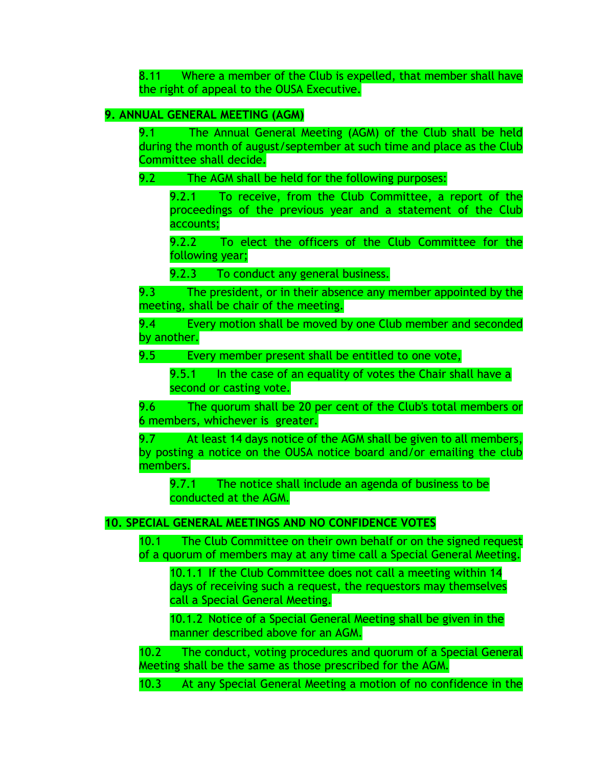8.11 Where a member of the Club is expelled, that member shall have the right of appeal to the OUSA Executive.

# **9. ANNUAL GENERAL MEETING (AGM)**

9.1 The Annual General Meeting (AGM) of the Club shall be held during the month of august/september at such time and place as the Club Committee shall decide.

#### 9.2 The AGM shall be held for the following purposes:

9.2.1 To receive, from the Club Committee, a report of the proceedings of the previous year and a statement of the Club accounts;

9.2.2 To elect the officers of the Club Committee for the following year;

9.2.3 To conduct any general business.

9.3 The president, or in their absence any member appointed by the meeting, shall be chair of the meeting.

9.4 Every motion shall be moved by one Club member and seconded by another.

9.5 Every member present shall be entitled to one vote,

9.5.1 In the case of an equality of votes the Chair shall have a second or casting vote.

9.6 The quorum shall be 20 per cent of the Club's total members or 6 members, whichever is greater.

9.7 At least 14 days notice of the AGM shall be given to all members, by posting a notice on the OUSA notice board and/or emailing the club members.

9.7.1 The notice shall include an agenda of business to be conducted at the AGM.

# **10. SPECIAL GENERAL MEETINGS AND NO CONFIDENCE VOTES**

10.1 The Club Committee on their own behalf or on the signed request of a quorum of members may at any time call a Special General Meeting.

10.1.1 If the Club Committee does not call a meeting within 14 days of receiving such a request, the requestors may themselves call a Special General Meeting.

10.1.2 Notice of a Special General Meeting shall be given in the manner described above for an AGM.

10.2 The conduct, voting procedures and quorum of a Special General Meeting shall be the same as those prescribed for the AGM.

10.3 At any Special General Meeting a motion of no confidence in the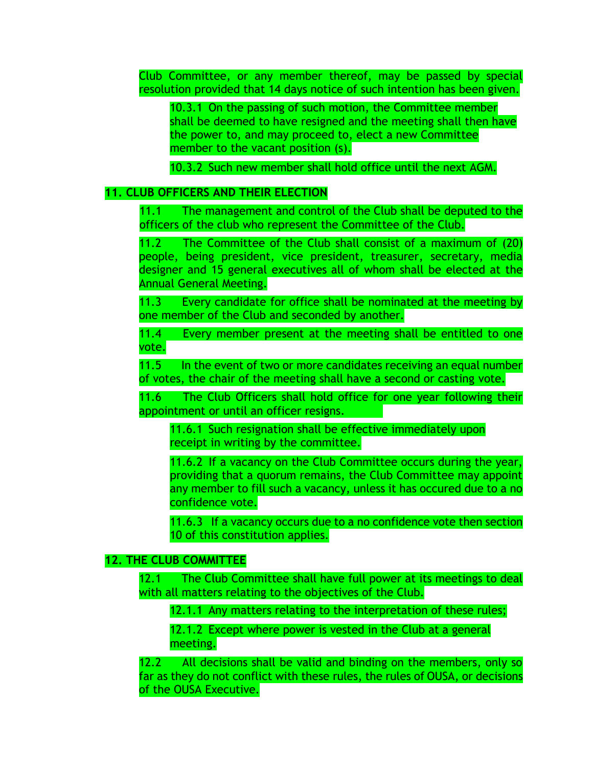Club Committee, or any member thereof, may be passed by special resolution provided that 14 days notice of such intention has been given.

10.3.1 On the passing of such motion, the Committee member shall be deemed to have resigned and the meeting shall then have the power to, and may proceed to, elect a new Committee member to the vacant position (s).

10.3.2 Such new member shall hold office until the next AGM.

#### **11. CLUB OFFICERS AND THEIR ELECTION**

11.1 The management and control of the Club shall be deputed to the officers of the club who represent the Committee of the Club.

11.2 The Committee of the Club shall consist of a maximum of (20) people, being president, vice president, treasurer, secretary, media designer and 15 general executives all of whom shall be elected at the Annual General Meeting.

11.3 Every candidate for office shall be nominated at the meeting by one member of the Club and seconded by another.

11.4 Every member present at the meeting shall be entitled to one vote.

11.5 In the event of two or more candidates receiving an equal number of votes, the chair of the meeting shall have a second or casting vote.

11.6 The Club Officers shall hold office for one year following their appointment or until an officer resigns.

11.6.1 Such resignation shall be effective immediately upon receipt in writing by the committee.

11.6.2 If a vacancy on the Club Committee occurs during the year, providing that a quorum remains, the Club Committee may appoint any member to fill such a vacancy, unless it has occured due to a no confidence vote.

11.6.3 If a vacancy occurs due to a no confidence vote then section 10 of this constitution applies.

#### **12. THE CLUB COMMITTEE**

12.1 The Club Committee shall have full power at its meetings to deal with all matters relating to the objectives of the Club.

12.1.1 Any matters relating to the interpretation of these rules;

12.1.2 Except where power is vested in the Club at a general meeting.

12.2 All decisions shall be valid and binding on the members, only so far as they do not conflict with these rules, the rules of OUSA, or decisions of the OUSA Executive.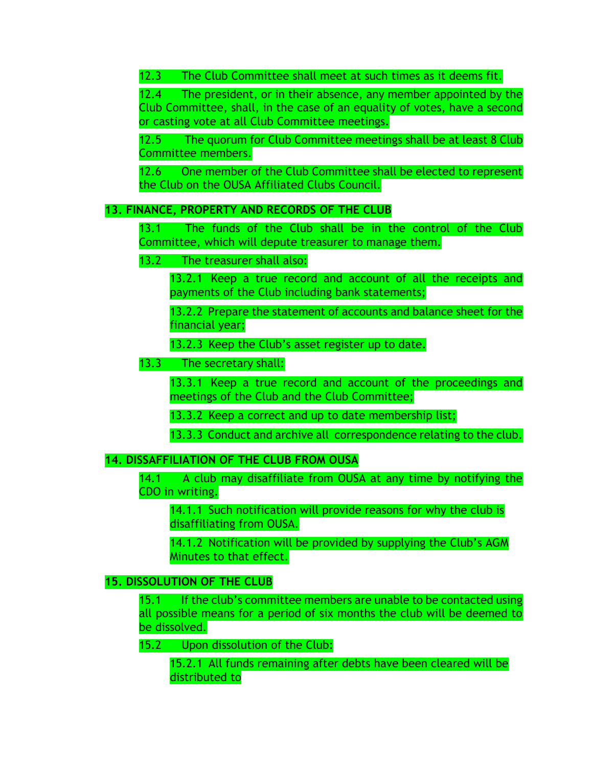12.3 The Club Committee shall meet at such times as it deems fit.

12.4 The president, or in their absence, any member appointed by the Club Committee, shall, in the case of an equality of votes, have a second or casting vote at all Club Committee meetings.

12.5 The quorum for Club Committee meetings shall be at least 8 Club Committee members.

12.6 One member of the Club Committee shall be elected to represent the Club on the OUSA Affiliated Clubs Council.

# **13. FINANCE, PROPERTY AND RECORDS OF THE CLUB**

13.1 The funds of the Club shall be in the control of the Club Committee, which will depute treasurer to manage them.

# 13.2 The treasurer shall also:

13.2.1 Keep a true record and account of all the receipts and payments of the Club including bank statements;

13.2.2 Prepare the statement of accounts and balance sheet for the financial year;

13.2.3 Keep the Club's asset register up to date.

# 13.3 The secretary shall:

13.3.1 Keep a true record and account of the proceedings and meetings of the Club and the Club Committee;

13.3.2 Keep a correct and up to date membership list;

13.3.3 Conduct and archive all correspondence relating to the club.

# **14. DISSAFFILIATION OF THE CLUB FROM OUSA**

14.1 A club may disaffiliate from OUSA at any time by notifying the CDO in writing.

14.1.1 Such notification will provide reasons for why the club is disaffiliating from OUSA.

14.1.2 Notification will be provided by supplying the Club's AGM Minutes to that effect.

# **15. DISSOLUTION OF THE CLUB**

15.1 If the club's committee members are unable to be contacted using all possible means for a period of six months the club will be deemed to be dissolved.

15.2 Upon dissolution of the Club:

15.2.1 All funds remaining after debts have been cleared will be distributed to